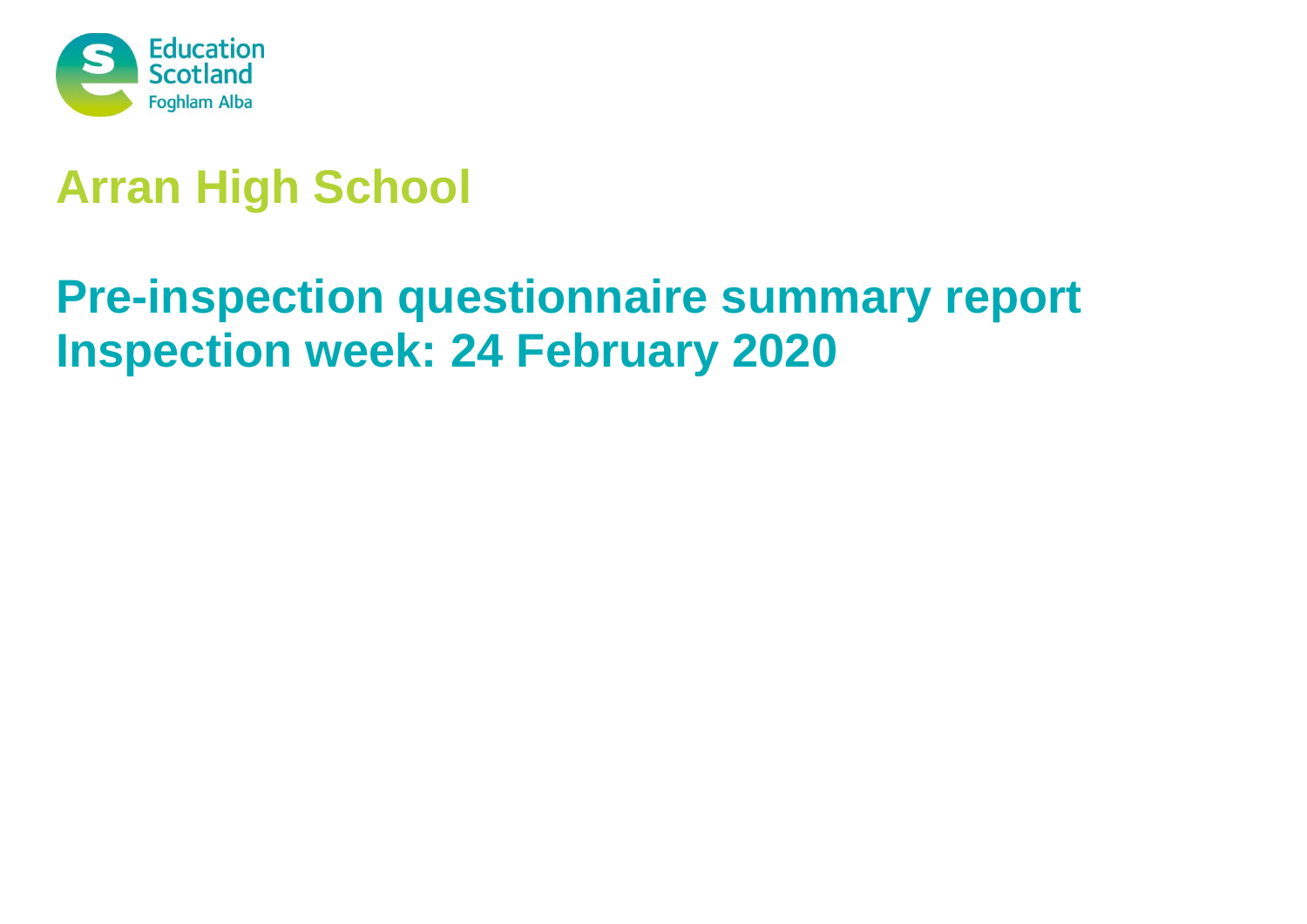

# **Arran High School**

# **Pre-inspection questionnaire summary report Inspection week: 24 February 2020**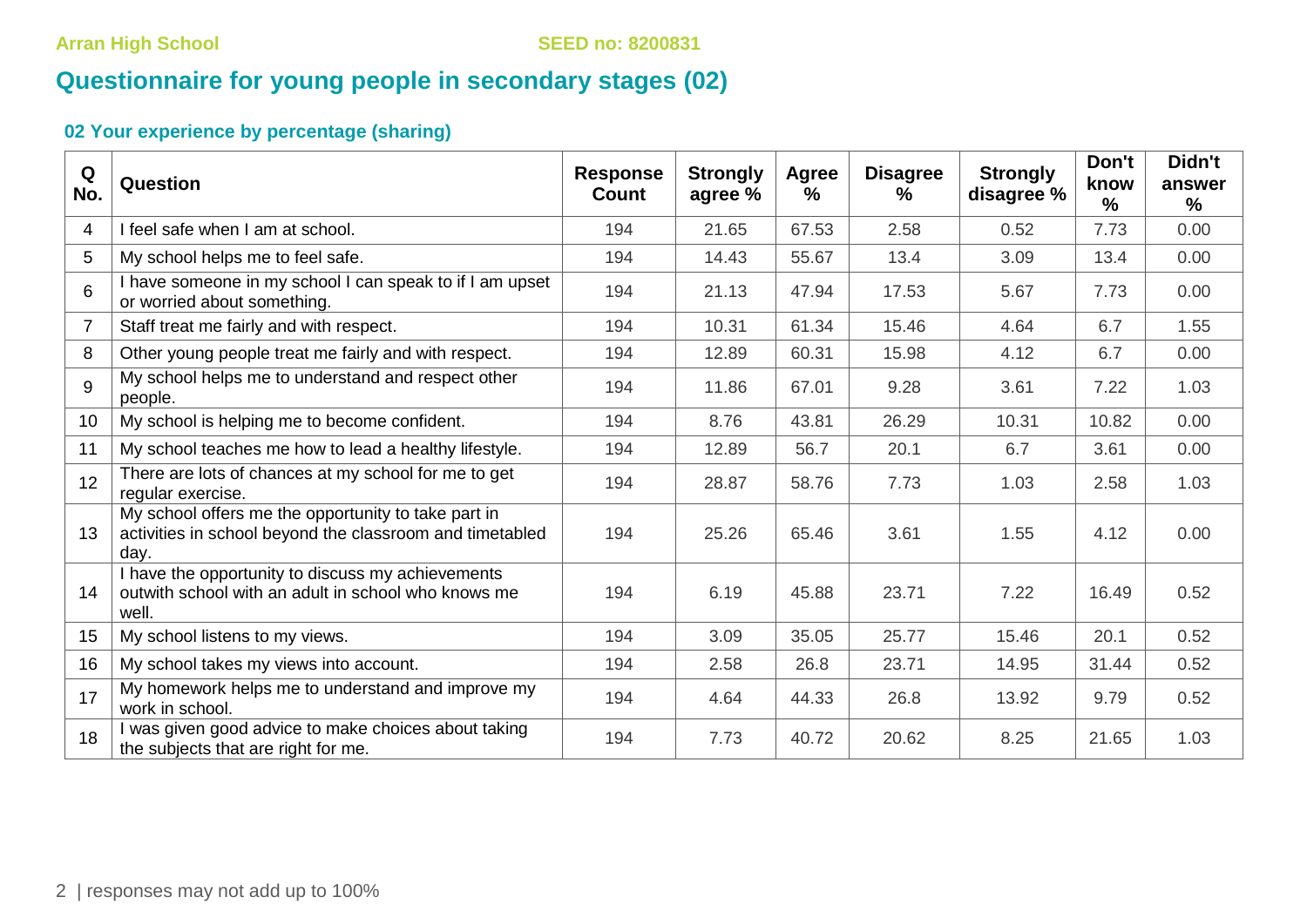## **Questionnaire for young people in secondary stages (02)**

| Q<br>No.        | Question                                                                                                                | <b>Response</b><br>Count | <b>Strongly</b><br>agree % | Agree<br>$\%$ | <b>Disagree</b><br>℅ | <b>Strongly</b><br>disagree % | Don't<br>know<br>$\frac{1}{2}$ | Didn't<br>answer<br>$\%$ |
|-----------------|-------------------------------------------------------------------------------------------------------------------------|--------------------------|----------------------------|---------------|----------------------|-------------------------------|--------------------------------|--------------------------|
| 4               | I feel safe when I am at school.                                                                                        | 194                      | 21.65                      | 67.53         | 2.58                 | 0.52                          | 7.73                           | 0.00                     |
| 5               | My school helps me to feel safe.                                                                                        | 194                      | 14.43                      | 55.67         | 13.4                 | 3.09                          | 13.4                           | 0.00                     |
| 6               | I have someone in my school I can speak to if I am upset<br>or worried about something.                                 | 194                      | 21.13                      | 47.94         | 17.53                | 5.67                          | 7.73                           | 0.00                     |
| 7               | Staff treat me fairly and with respect.                                                                                 | 194                      | 10.31                      | 61.34         | 15.46                | 4.64                          | 6.7                            | 1.55                     |
| 8               | Other young people treat me fairly and with respect.                                                                    | 194                      | 12.89                      | 60.31         | 15.98                | 4.12                          | 6.7                            | 0.00                     |
| 9               | My school helps me to understand and respect other<br>people.                                                           | 194                      | 11.86                      | 67.01         | 9.28                 | 3.61                          | 7.22                           | 1.03                     |
| 10 <sup>°</sup> | My school is helping me to become confident.                                                                            | 194                      | 8.76                       | 43.81         | 26.29                | 10.31                         | 10.82                          | 0.00                     |
| 11              | My school teaches me how to lead a healthy lifestyle.                                                                   | 194                      | 12.89                      | 56.7          | 20.1                 | 6.7                           | 3.61                           | 0.00                     |
| 12              | There are lots of chances at my school for me to get<br>regular exercise.                                               | 194                      | 28.87                      | 58.76         | 7.73                 | 1.03                          | 2.58                           | 1.03                     |
| 13              | My school offers me the opportunity to take part in<br>activities in school beyond the classroom and timetabled<br>day. | 194                      | 25.26                      | 65.46         | 3.61                 | 1.55                          | 4.12                           | 0.00                     |
| 14              | I have the opportunity to discuss my achievements<br>outwith school with an adult in school who knows me<br>well.       | 194                      | 6.19                       | 45.88         | 23.71                | 7.22                          | 16.49                          | 0.52                     |
| 15              | My school listens to my views.                                                                                          | 194                      | 3.09                       | 35.05         | 25.77                | 15.46                         | 20.1                           | 0.52                     |
| 16              | My school takes my views into account.                                                                                  | 194                      | 2.58                       | 26.8          | 23.71                | 14.95                         | 31.44                          | 0.52                     |
| 17              | My homework helps me to understand and improve my<br>work in school.                                                    | 194                      | 4.64                       | 44.33         | 26.8                 | 13.92                         | 9.79                           | 0.52                     |
| 18              | I was given good advice to make choices about taking<br>the subjects that are right for me.                             | 194                      | 7.73                       | 40.72         | 20.62                | 8.25                          | 21.65                          | 1.03                     |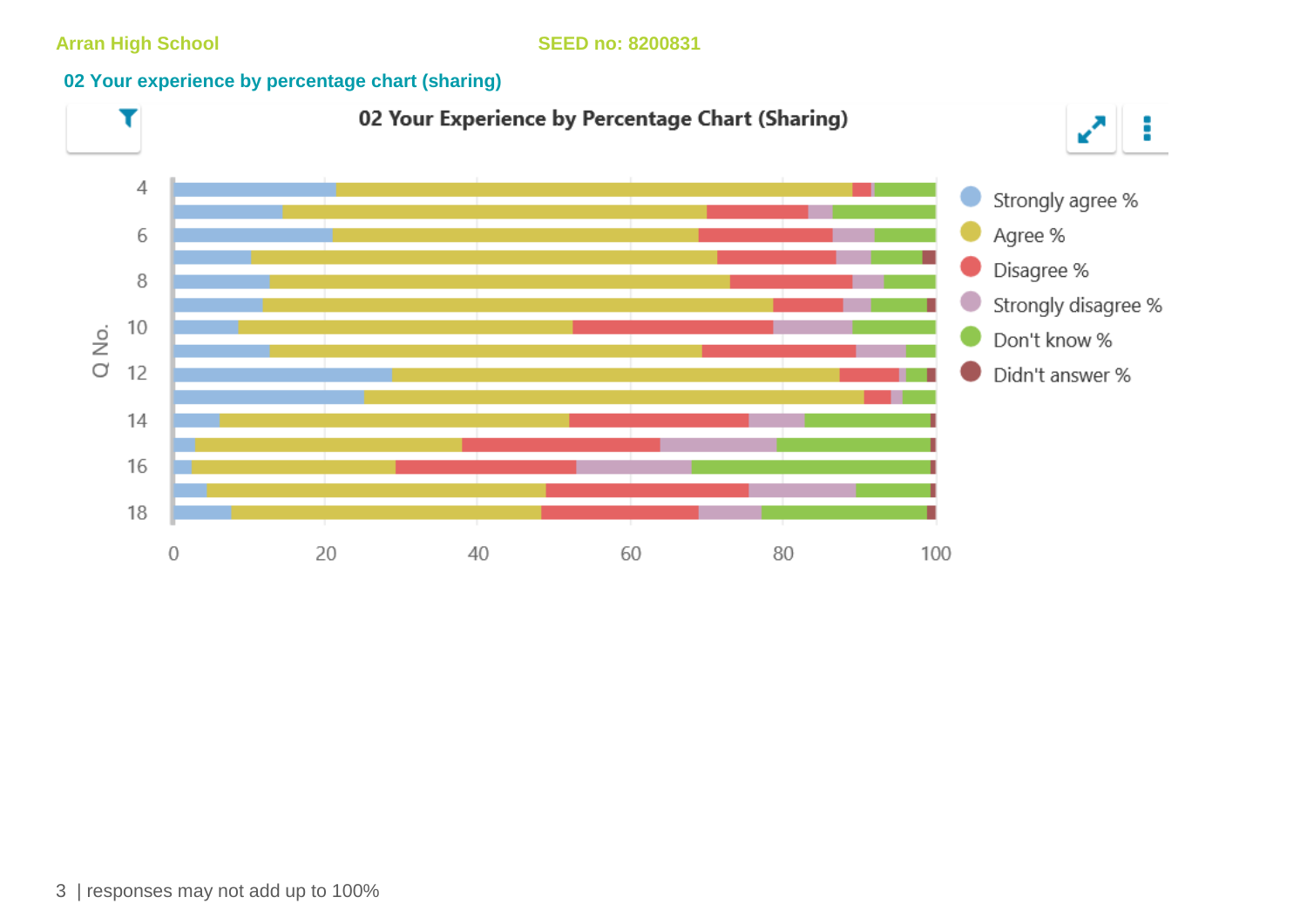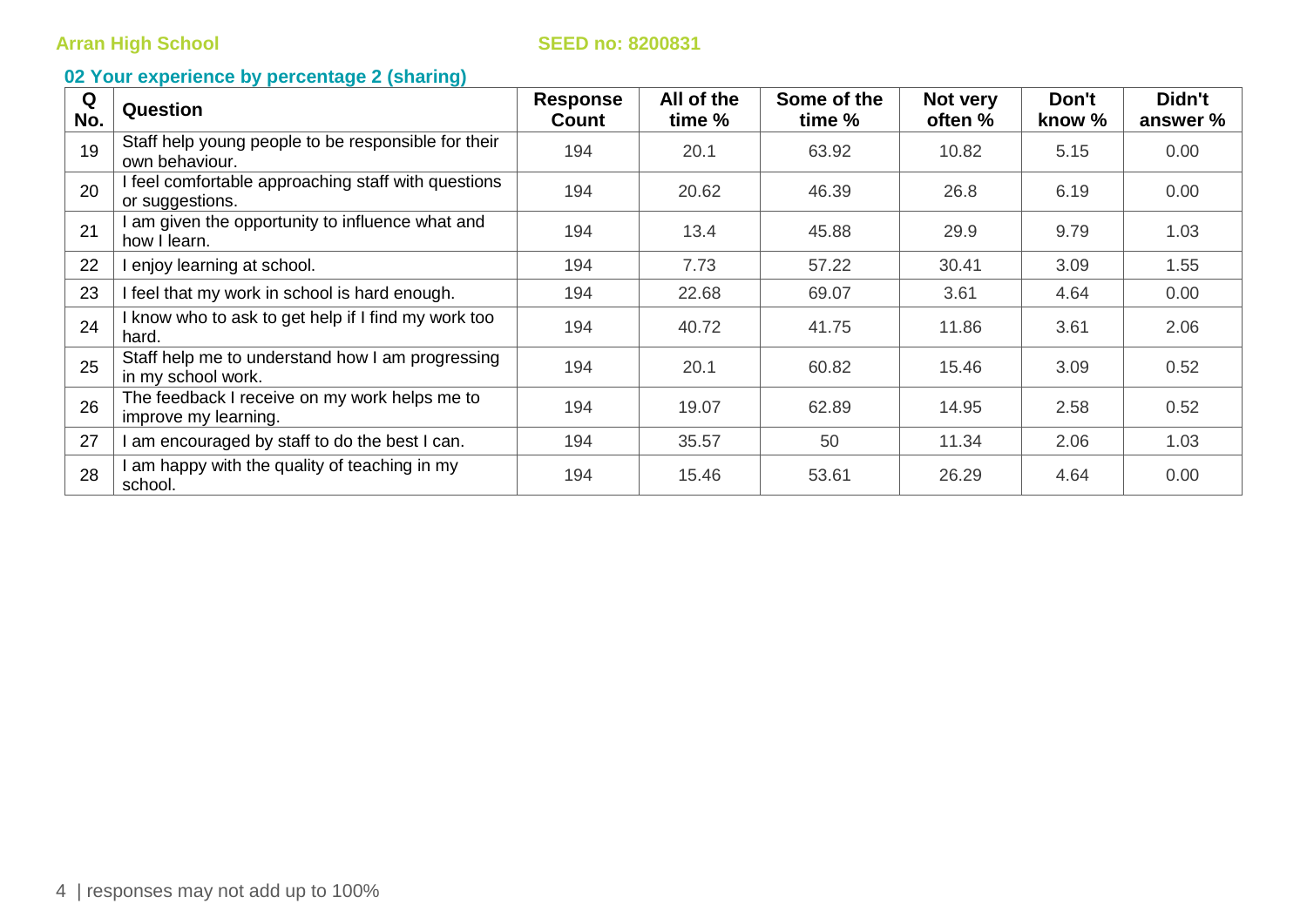| Q<br>No. | <b>Question</b>                                                        | <b>Response</b><br>Count | All of the<br>time % | Some of the<br>time % | Not very<br>often % | Don't<br>know % | Didn't<br>answer % |
|----------|------------------------------------------------------------------------|--------------------------|----------------------|-----------------------|---------------------|-----------------|--------------------|
| 19       | Staff help young people to be responsible for their<br>own behaviour.  | 194                      | 20.1                 | 63.92                 | 10.82               | 5.15            | 0.00               |
| 20       | I feel comfortable approaching staff with questions<br>or suggestions. | 194                      | 20.62                | 46.39                 | 26.8                | 6.19            | 0.00               |
| 21       | I am given the opportunity to influence what and<br>how I learn.       | 194                      | 13.4                 | 45.88                 | 29.9                | 9.79            | 1.03               |
| 22       | I enjoy learning at school.                                            | 194                      | 7.73                 | 57.22                 | 30.41               | 3.09            | 1.55               |
| 23       | I feel that my work in school is hard enough.                          | 194                      | 22.68                | 69.07                 | 3.61                | 4.64            | 0.00               |
| 24       | I know who to ask to get help if I find my work too<br>hard.           | 194                      | 40.72                | 41.75                 | 11.86               | 3.61            | 2.06               |
| 25       | Staff help me to understand how I am progressing<br>in my school work. | 194                      | 20.1                 | 60.82                 | 15.46               | 3.09            | 0.52               |
| 26       | The feedback I receive on my work helps me to<br>improve my learning.  | 194                      | 19.07                | 62.89                 | 14.95               | 2.58            | 0.52               |
| 27       | I am encouraged by staff to do the best I can.                         | 194                      | 35.57                | 50                    | 11.34               | 2.06            | 1.03               |
| 28       | I am happy with the quality of teaching in my<br>school.               | 194                      | 15.46                | 53.61                 | 26.29               | 4.64            | 0.00               |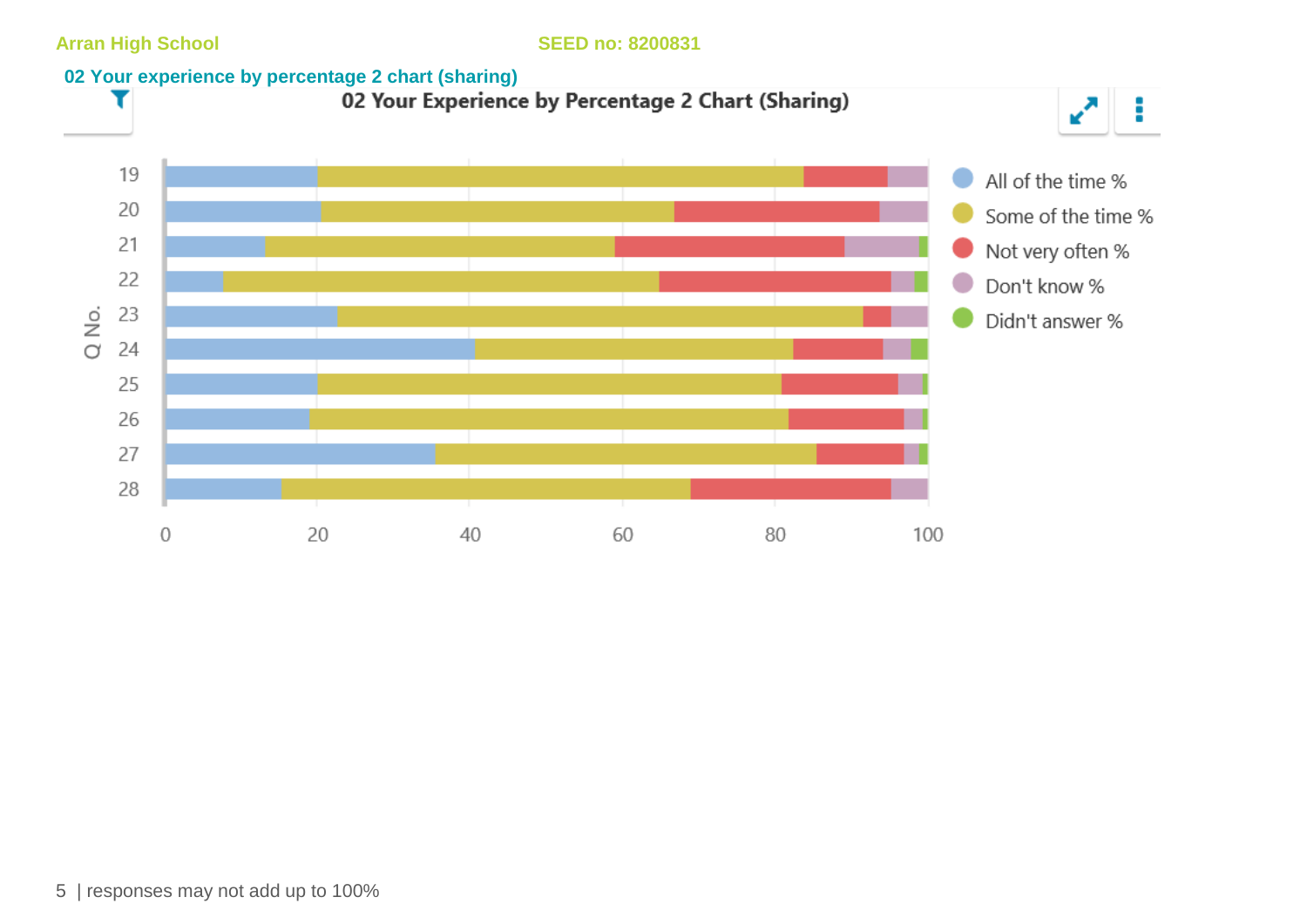

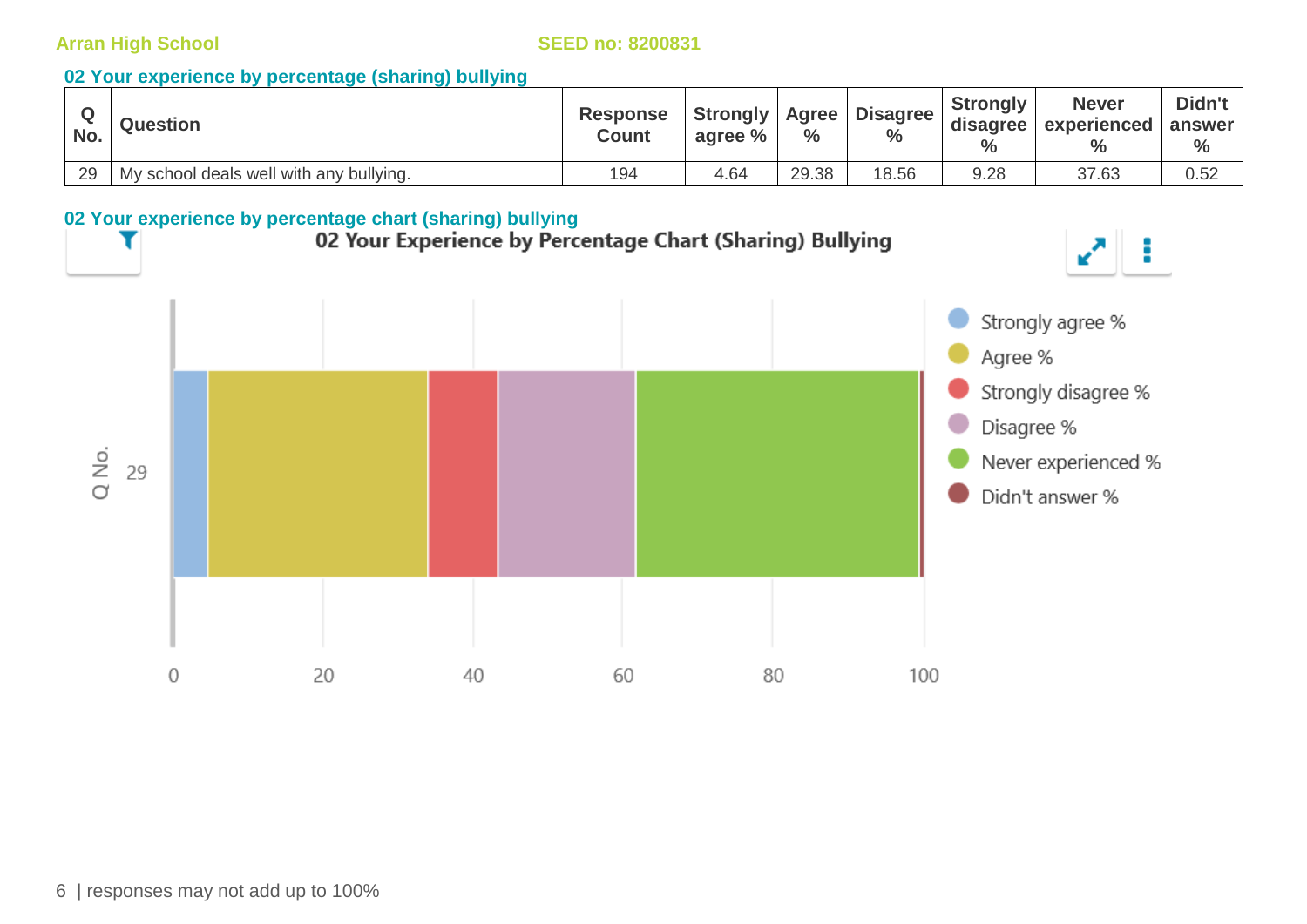#### **02 Your experience by percentage (sharing) bullying**

| No. | <b>Question</b>                         | <b>Response</b><br><b>Count</b> | <b>Strongly</b><br>agree % | <b>Agree</b><br>$\%$ | <b>Disagree</b><br>$\frac{0}{0}$ | <b>Strongly</b><br>disagree | <b>Never</b><br>experienced answer<br>$\frac{0}{0}$ | Didn't<br>$\%$ |
|-----|-----------------------------------------|---------------------------------|----------------------------|----------------------|----------------------------------|-----------------------------|-----------------------------------------------------|----------------|
| 29  | My school deals well with any bullying. | 194                             | 4.64                       | 29.38                | 18.56                            | 9.28                        | 37.63                                               | 0.52           |

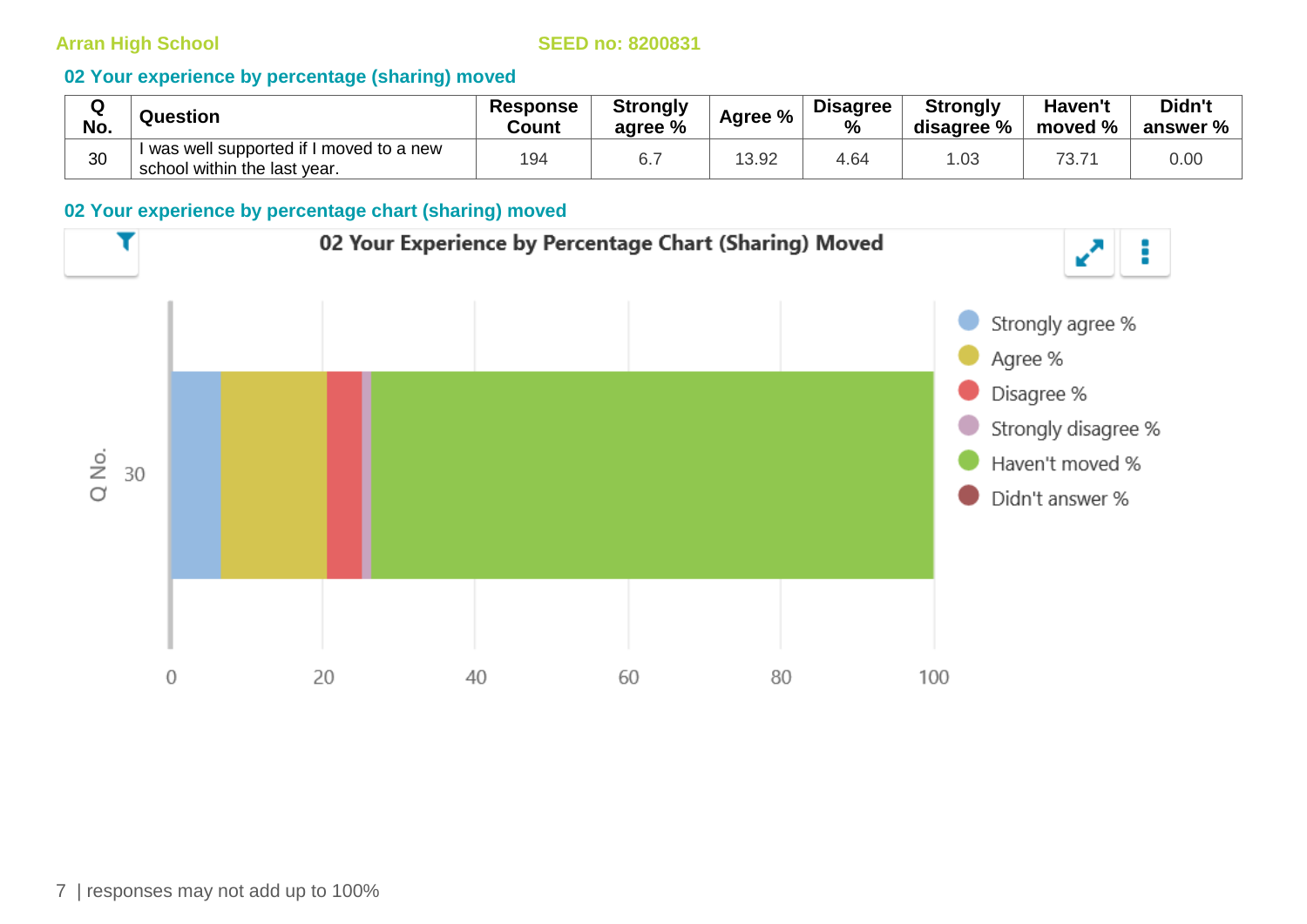#### **02 Your experience by percentage (sharing) moved**

| $\sim$<br>w<br>No. | Question                                                                 | <b>Response</b><br>Count | <b>Strongly</b><br>agree % | Agree % | <b>Disagree</b><br>$\frac{0}{0}$ | <b>Strongly</b><br>disagree % | <b>Haven't</b><br>moved % | Didn't<br>answer % |
|--------------------|--------------------------------------------------------------------------|--------------------------|----------------------------|---------|----------------------------------|-------------------------------|---------------------------|--------------------|
| 30                 | I was well supported if I moved to a new<br>school within the last year. | 194                      | ◡.                         | 13.92   | 4.64                             | .03                           | 73.7                      | 0.00               |

#### **02 Your experience by percentage chart (sharing) moved**

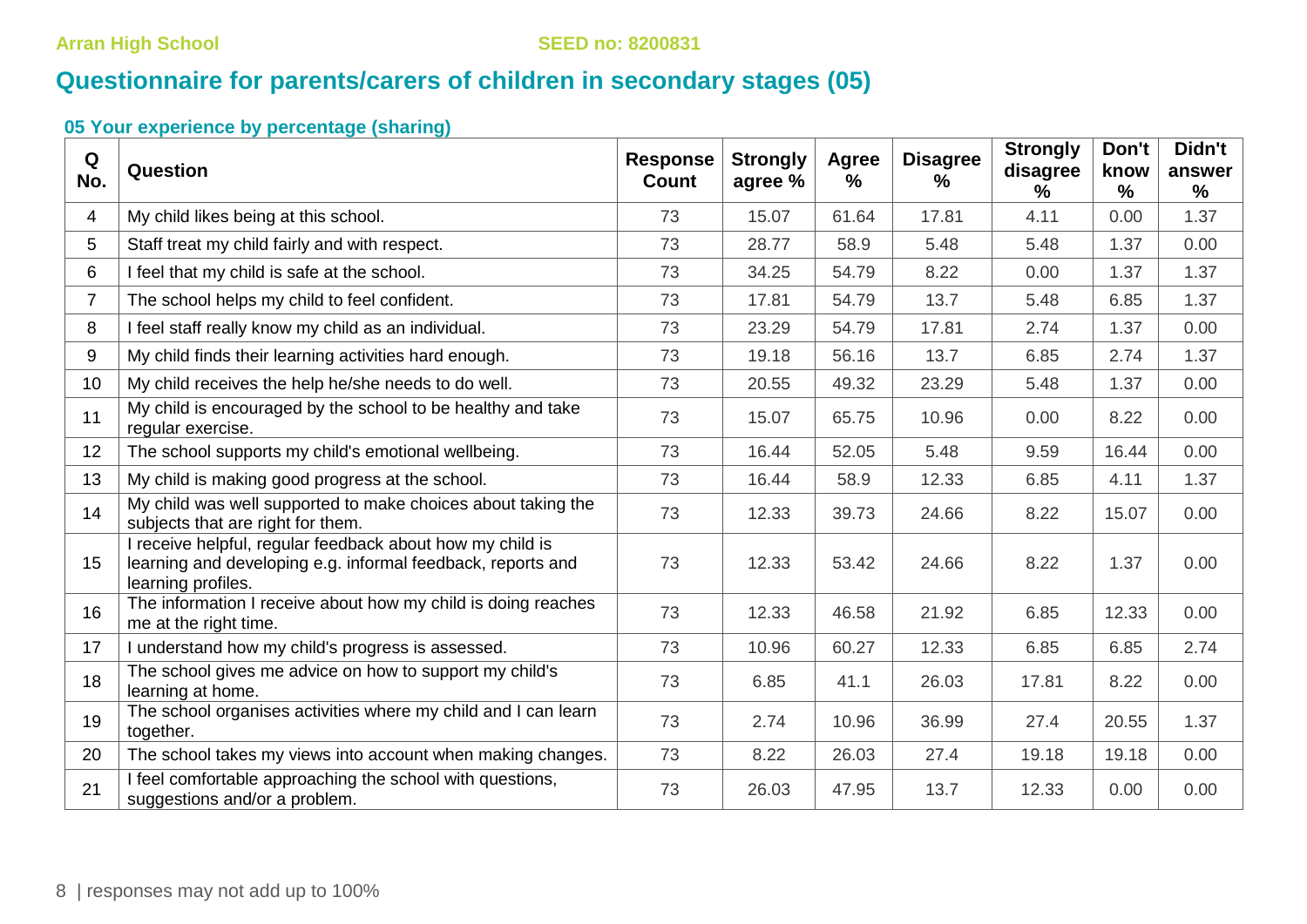## **Questionnaire for parents/carers of children in secondary stages (05)**

| Q<br>No.                | Question                                                                                                                                       | <b>Response</b><br><b>Count</b> | <b>Strongly</b><br>agree % | <b>Agree</b><br>$\frac{9}{6}$ | <b>Disagree</b><br>% | <b>Strongly</b><br>disagree<br>℅ | Don't<br>know<br>$\frac{0}{0}$ | Didn't<br>answer<br>$\frac{9}{6}$ |
|-------------------------|------------------------------------------------------------------------------------------------------------------------------------------------|---------------------------------|----------------------------|-------------------------------|----------------------|----------------------------------|--------------------------------|-----------------------------------|
| $\overline{\mathbf{4}}$ | My child likes being at this school.                                                                                                           | 73                              | 15.07                      | 61.64                         | 17.81                | 4.11                             | 0.00                           | 1.37                              |
| 5                       | Staff treat my child fairly and with respect.                                                                                                  | 73                              | 28.77                      | 58.9                          | 5.48                 | 5.48                             | 1.37                           | 0.00                              |
| 6                       | I feel that my child is safe at the school.                                                                                                    | 73                              | 34.25                      | 54.79                         | 8.22                 | 0.00                             | 1.37                           | 1.37                              |
| $\overline{7}$          | The school helps my child to feel confident.                                                                                                   | 73                              | 17.81                      | 54.79                         | 13.7                 | 5.48                             | 6.85                           | 1.37                              |
| 8                       | I feel staff really know my child as an individual.                                                                                            | 73                              | 23.29                      | 54.79                         | 17.81                | 2.74                             | 1.37                           | 0.00                              |
| 9                       | My child finds their learning activities hard enough.                                                                                          | 73                              | 19.18                      | 56.16                         | 13.7                 | 6.85                             | 2.74                           | 1.37                              |
| 10                      | My child receives the help he/she needs to do well.                                                                                            | 73                              | 20.55                      | 49.32                         | 23.29                | 5.48                             | 1.37                           | 0.00                              |
| 11                      | My child is encouraged by the school to be healthy and take<br>regular exercise.                                                               | 73                              | 15.07                      | 65.75                         | 10.96                | 0.00                             | 8.22                           | 0.00                              |
| 12                      | The school supports my child's emotional wellbeing.                                                                                            | 73                              | 16.44                      | 52.05                         | 5.48                 | 9.59                             | 16.44                          | 0.00                              |
| 13                      | My child is making good progress at the school.                                                                                                | 73                              | 16.44                      | 58.9                          | 12.33                | 6.85                             | 4.11                           | 1.37                              |
| 14                      | My child was well supported to make choices about taking the<br>subjects that are right for them.                                              | 73                              | 12.33                      | 39.73                         | 24.66                | 8.22                             | 15.07                          | 0.00                              |
| 15                      | I receive helpful, regular feedback about how my child is<br>learning and developing e.g. informal feedback, reports and<br>learning profiles. | 73                              | 12.33                      | 53.42                         | 24.66                | 8.22                             | 1.37                           | 0.00                              |
| 16                      | The information I receive about how my child is doing reaches<br>me at the right time.                                                         | 73                              | 12.33                      | 46.58                         | 21.92                | 6.85                             | 12.33                          | 0.00                              |
| 17                      | I understand how my child's progress is assessed.                                                                                              | 73                              | 10.96                      | 60.27                         | 12.33                | 6.85                             | 6.85                           | 2.74                              |
| 18                      | The school gives me advice on how to support my child's<br>learning at home.                                                                   | 73                              | 6.85                       | 41.1                          | 26.03                | 17.81                            | 8.22                           | 0.00                              |
| 19                      | The school organises activities where my child and I can learn<br>together.                                                                    | 73                              | 2.74                       | 10.96                         | 36.99                | 27.4                             | 20.55                          | 1.37                              |
| 20                      | The school takes my views into account when making changes.                                                                                    | 73                              | 8.22                       | 26.03                         | 27.4                 | 19.18                            | 19.18                          | 0.00                              |
| 21                      | I feel comfortable approaching the school with questions,<br>suggestions and/or a problem.                                                     | 73                              | 26.03                      | 47.95                         | 13.7                 | 12.33                            | 0.00                           | 0.00                              |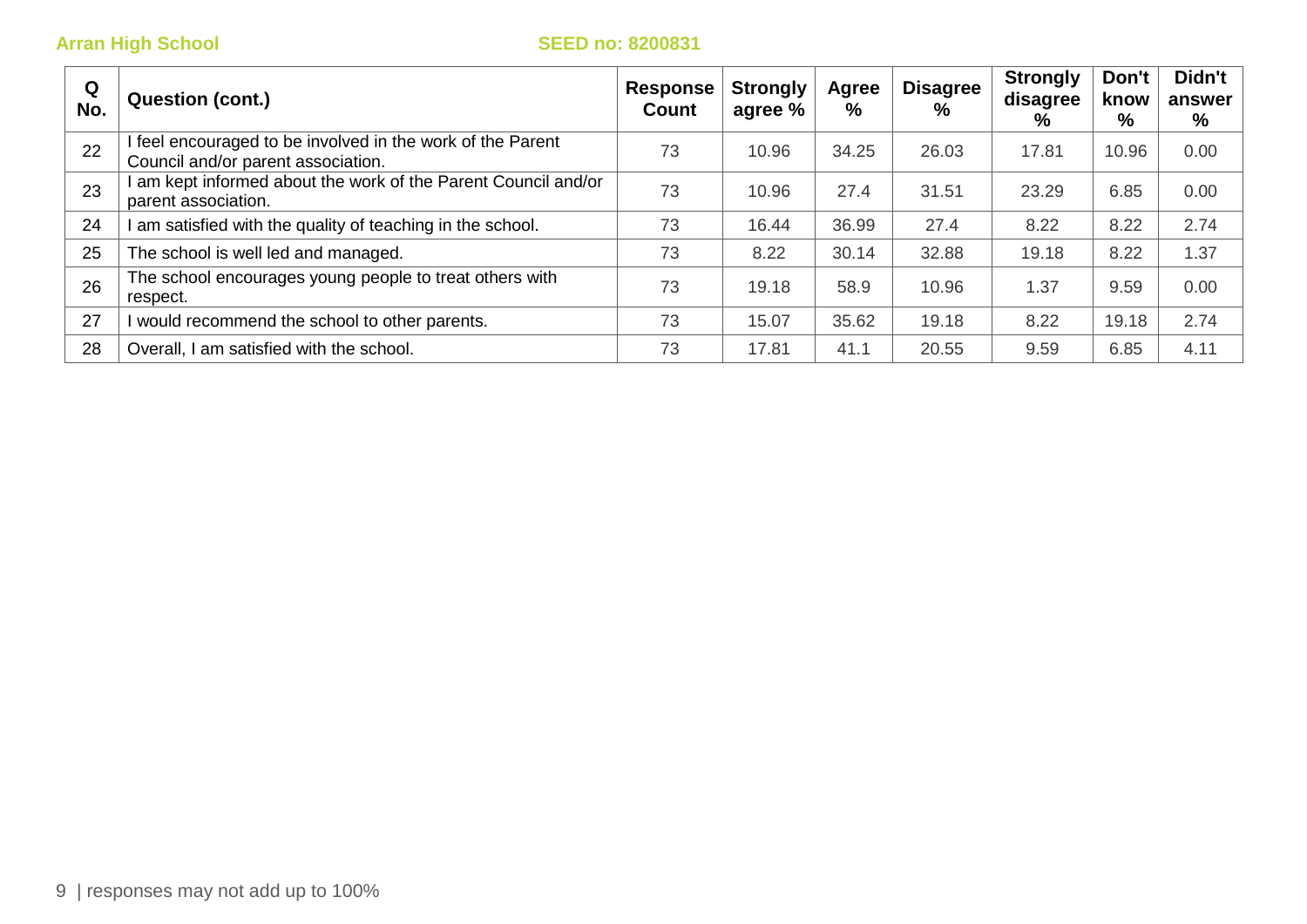| Q<br>No. | <b>Question (cont.)</b>                                                                        | <b>Response</b><br>Count | <b>Strongly</b><br>agree % | Agree<br>% | <b>Disagree</b><br>$\%$ | <b>Strongly</b><br>disagree<br>% | Don't<br>know<br>% | Didn't<br>answer<br>$\%$ |
|----------|------------------------------------------------------------------------------------------------|--------------------------|----------------------------|------------|-------------------------|----------------------------------|--------------------|--------------------------|
| 22       | feel encouraged to be involved in the work of the Parent<br>Council and/or parent association. | 73                       | 10.96                      | 34.25      | 26.03                   | 17.81                            | 10.96              | 0.00                     |
| 23       | am kept informed about the work of the Parent Council and/or<br>parent association.            | 73                       | 10.96                      | 27.4       | 31.51                   | 23.29                            | 6.85               | 0.00                     |
| 24       | am satisfied with the quality of teaching in the school.                                       | 73                       | 16.44                      | 36.99      | 27.4                    | 8.22                             | 8.22               | 2.74                     |
| 25       | The school is well led and managed.                                                            | 73                       | 8.22                       | 30.14      | 32.88                   | 19.18                            | 8.22               | 1.37                     |
| 26       | The school encourages young people to treat others with<br>respect.                            | 73                       | 19.18                      | 58.9       | 10.96                   | 1.37                             | 9.59               | 0.00                     |
| 27       | would recommend the school to other parents.                                                   | 73                       | 15.07                      | 35.62      | 19.18                   | 8.22                             | 19.18              | 2.74                     |
| 28       | Overall, I am satisfied with the school.                                                       | 73                       | 17.81                      | 41.1       | 20.55                   | 9.59                             | 6.85               | 4.11                     |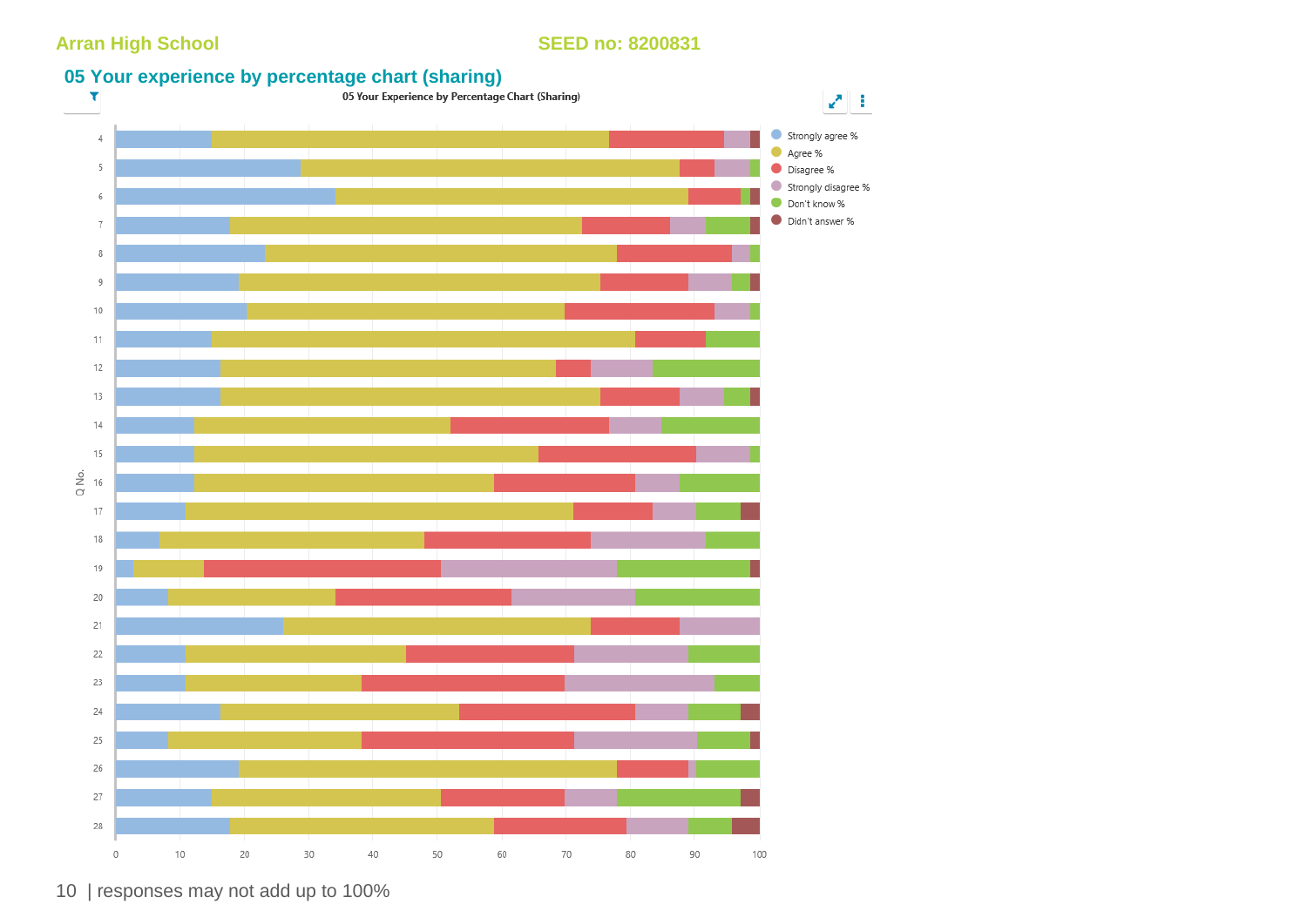## **05 Your experience by percentage chart (sharing)**<br> **1** OS Your Experience by Percentage Chart (Sharing)



10 | responses may not add up to 100%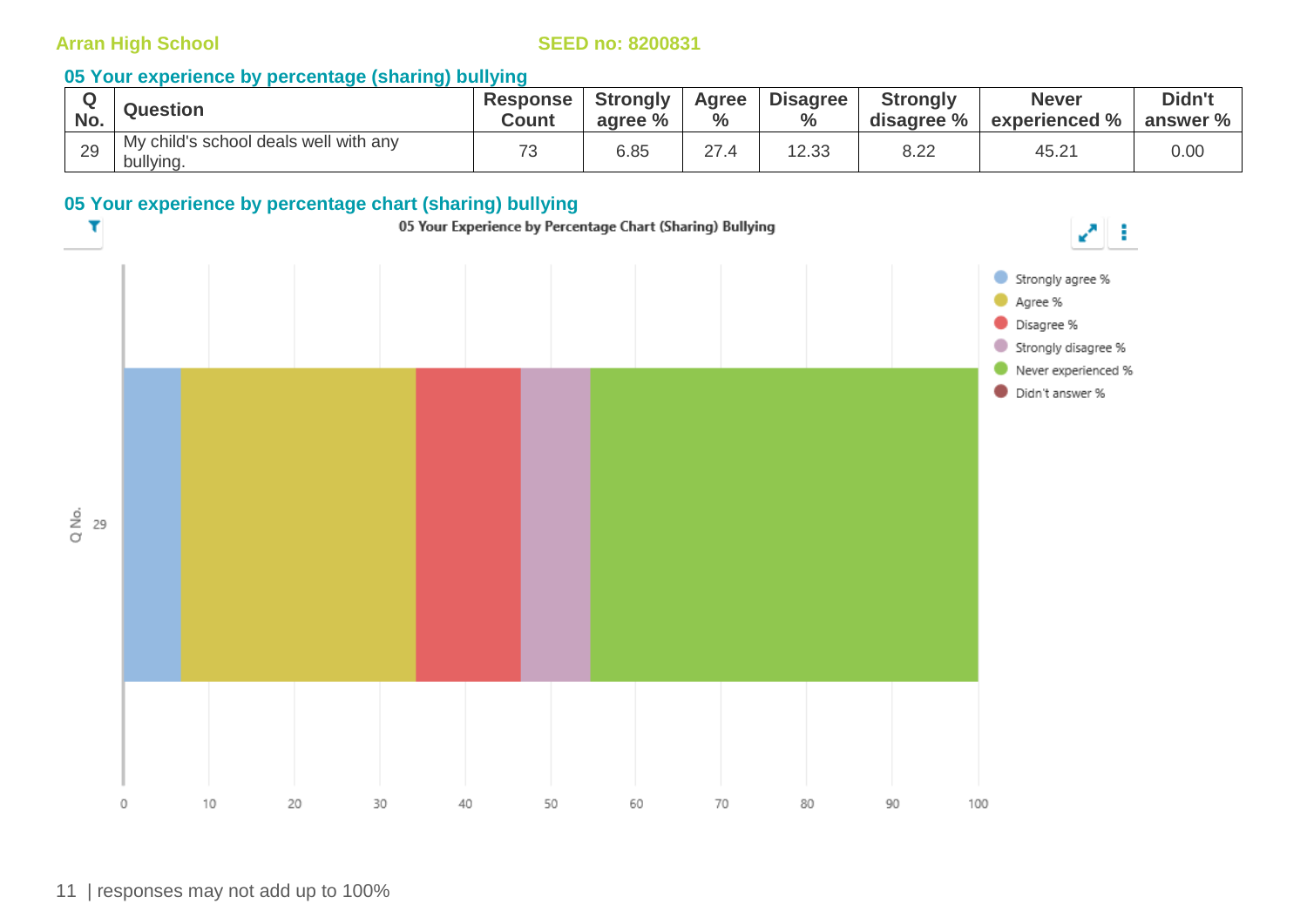#### **05 Your experience by percentage (sharing) bullying**

| No. | <b>Question</b>                                    | <b>Response</b><br><b>Count</b> | <b>Strongly</b><br>agree % | Agree<br>$\%$ | <b>Disagree</b><br>$\frac{0}{0}$ | <b>Strongly</b><br>disagree % | <b>Never</b><br>experienced % | Didn't<br>answer % |
|-----|----------------------------------------------------|---------------------------------|----------------------------|---------------|----------------------------------|-------------------------------|-------------------------------|--------------------|
| 29  | My child's school deals well with any<br>bullying. | 70<br>۰ ت                       | 6.85                       | 27            | 12.33                            | 8.22                          | 45.21                         | 0.00               |

#### **05 Your experience by percentage chart (sharing) bullying**

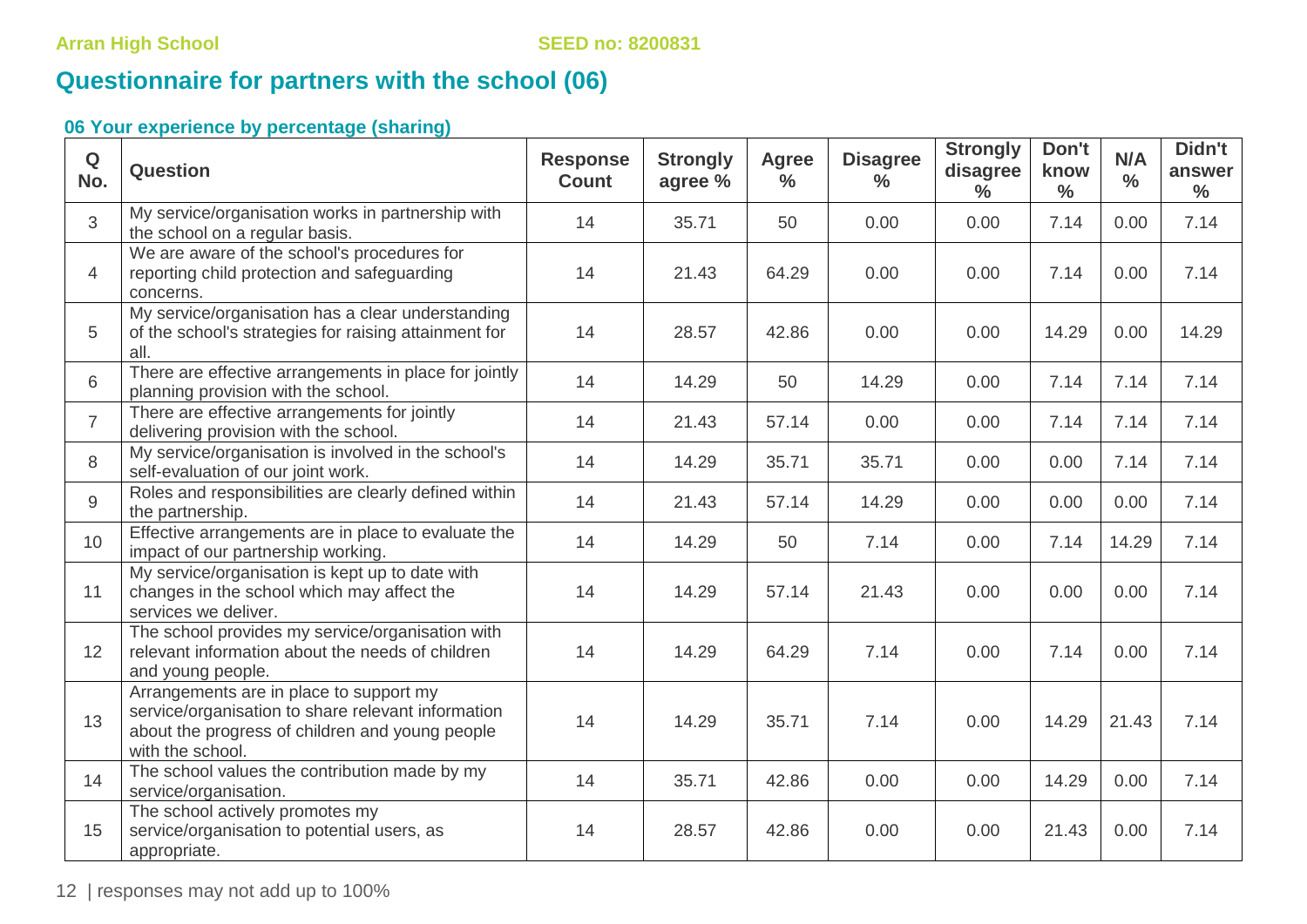## **Questionnaire for partners with the school (06)**

| $\mathbf Q$<br>No. | <b>Question</b>                                                                                                                                                      | <b>Response</b><br><b>Count</b> | <b>Strongly</b><br>agree % | <b>Agree</b><br>$\%$ | <b>Disagree</b><br>$\frac{9}{6}$ | <b>Strongly</b><br>disagree<br>$\frac{0}{0}$ | Don't<br>know<br>$\frac{0}{0}$ | N/A<br>$\frac{0}{0}$ | Didn't<br>answer<br>$\frac{6}{6}$ |
|--------------------|----------------------------------------------------------------------------------------------------------------------------------------------------------------------|---------------------------------|----------------------------|----------------------|----------------------------------|----------------------------------------------|--------------------------------|----------------------|-----------------------------------|
| 3                  | My service/organisation works in partnership with<br>the school on a regular basis.                                                                                  | 14                              | 35.71                      | 50                   | 0.00                             | 0.00                                         | 7.14                           | 0.00                 | 7.14                              |
| $\overline{4}$     | We are aware of the school's procedures for<br>reporting child protection and safeguarding<br>concerns.                                                              | 14                              | 21.43                      | 64.29                | 0.00                             | 0.00                                         | 7.14                           | 0.00                 | 7.14                              |
| 5                  | My service/organisation has a clear understanding<br>of the school's strategies for raising attainment for<br>all.                                                   | 14                              | 28.57                      | 42.86                | 0.00                             | 0.00                                         | 14.29                          | 0.00                 | 14.29                             |
| 6                  | There are effective arrangements in place for jointly<br>planning provision with the school.                                                                         | 14                              | 14.29                      | 50                   | 14.29                            | 0.00                                         | 7.14                           | 7.14                 | 7.14                              |
| $\overline{7}$     | There are effective arrangements for jointly<br>delivering provision with the school.                                                                                | 14                              | 21.43                      | 57.14                | 0.00                             | 0.00                                         | 7.14                           | 7.14                 | 7.14                              |
| 8                  | My service/organisation is involved in the school's<br>self-evaluation of our joint work.                                                                            | 14                              | 14.29                      | 35.71                | 35.71                            | 0.00                                         | 0.00                           | 7.14                 | 7.14                              |
| $\overline{9}$     | Roles and responsibilities are clearly defined within<br>the partnership.                                                                                            | 14                              | 21.43                      | 57.14                | 14.29                            | 0.00                                         | 0.00                           | 0.00                 | 7.14                              |
| 10                 | Effective arrangements are in place to evaluate the<br>impact of our partnership working.                                                                            | 14                              | 14.29                      | 50                   | 7.14                             | 0.00                                         | 7.14                           | 14.29                | 7.14                              |
| 11                 | My service/organisation is kept up to date with<br>changes in the school which may affect the<br>services we deliver.                                                | 14                              | 14.29                      | 57.14                | 21.43                            | 0.00                                         | 0.00                           | 0.00                 | 7.14                              |
| 12                 | The school provides my service/organisation with<br>relevant information about the needs of children<br>and young people.                                            | 14                              | 14.29                      | 64.29                | 7.14                             | 0.00                                         | 7.14                           | 0.00                 | 7.14                              |
| 13                 | Arrangements are in place to support my<br>service/organisation to share relevant information<br>about the progress of children and young people<br>with the school. | 14                              | 14.29                      | 35.71                | 7.14                             | 0.00                                         | 14.29                          | 21.43                | 7.14                              |
| 14                 | The school values the contribution made by my<br>service/organisation.                                                                                               | 14                              | 35.71                      | 42.86                | 0.00                             | 0.00                                         | 14.29                          | 0.00                 | 7.14                              |
| 15                 | The school actively promotes my<br>service/organisation to potential users, as<br>appropriate.                                                                       | 14                              | 28.57                      | 42.86                | 0.00                             | 0.00                                         | 21.43                          | 0.00                 | 7.14                              |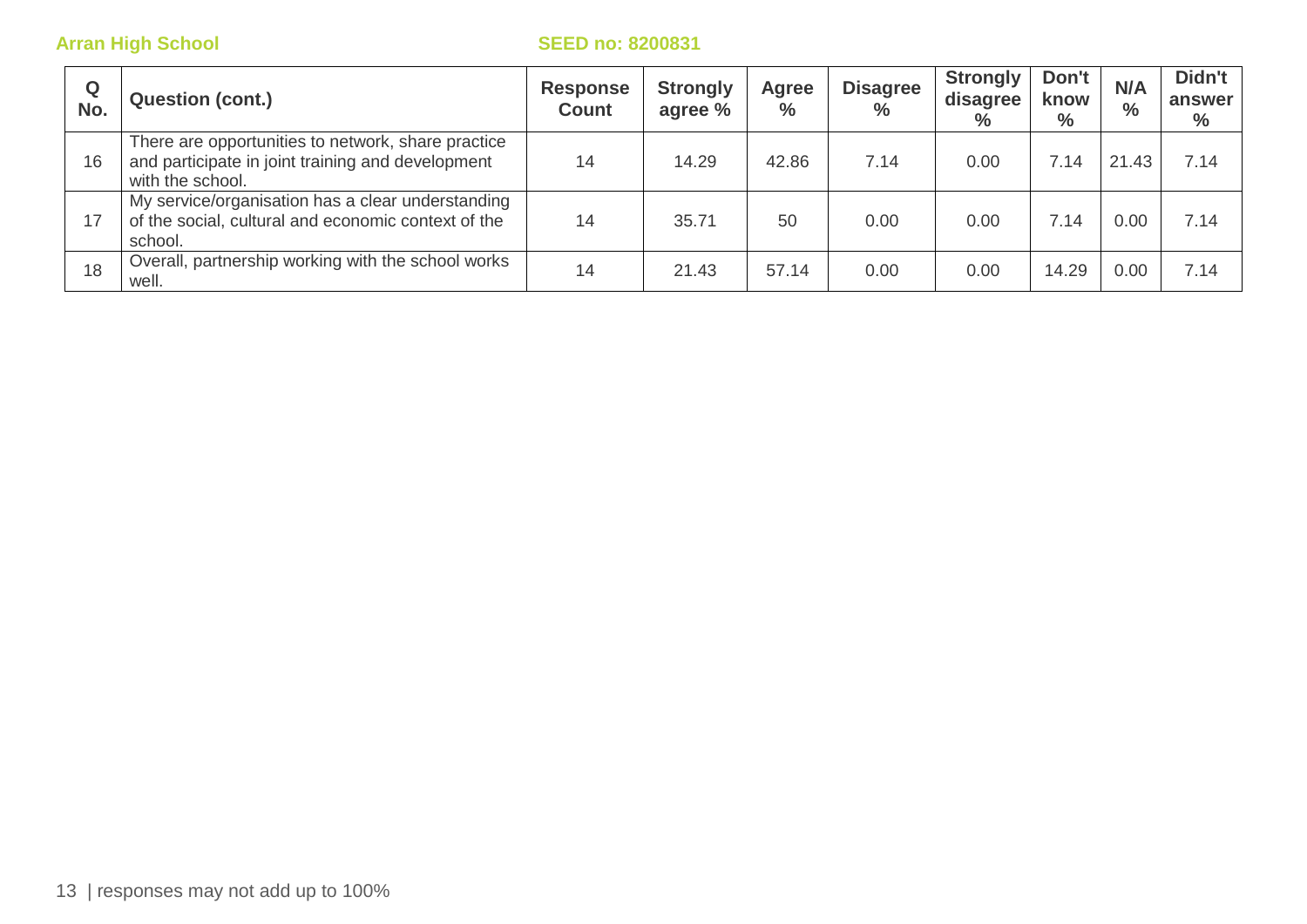| Q<br>No. | <b>Question (cont.)</b>                                                                                                     | <b>Response</b><br><b>Count</b> | <b>Strongly</b><br>agree % | Agree<br>$\%$ | <b>Disagree</b><br>$\%$ | <b>Strongly</b><br>disagree<br>$\%$ | Don't<br>know<br>$\frac{0}{0}$ | N/A<br>$\%$ | Didn't<br>answer<br>$\%$ |
|----------|-----------------------------------------------------------------------------------------------------------------------------|---------------------------------|----------------------------|---------------|-------------------------|-------------------------------------|--------------------------------|-------------|--------------------------|
| 16       | There are opportunities to network, share practice<br>and participate in joint training and development<br>with the school. | 14                              | 14.29                      | 42.86         | 7.14                    | 0.00                                | 7.14                           | 21.43       | 7.14                     |
| 17       | My service/organisation has a clear understanding<br>of the social, cultural and economic context of the<br>school.         | 14                              | 35.71                      | 50            | 0.00                    | 0.00                                | 7.14                           | 0.00        | 7.14                     |
| 18       | Overall, partnership working with the school works<br>well.                                                                 | 14                              | 21.43                      | 57.14         | 0.00                    | 0.00                                | 14.29                          | 0.00        | 7.14                     |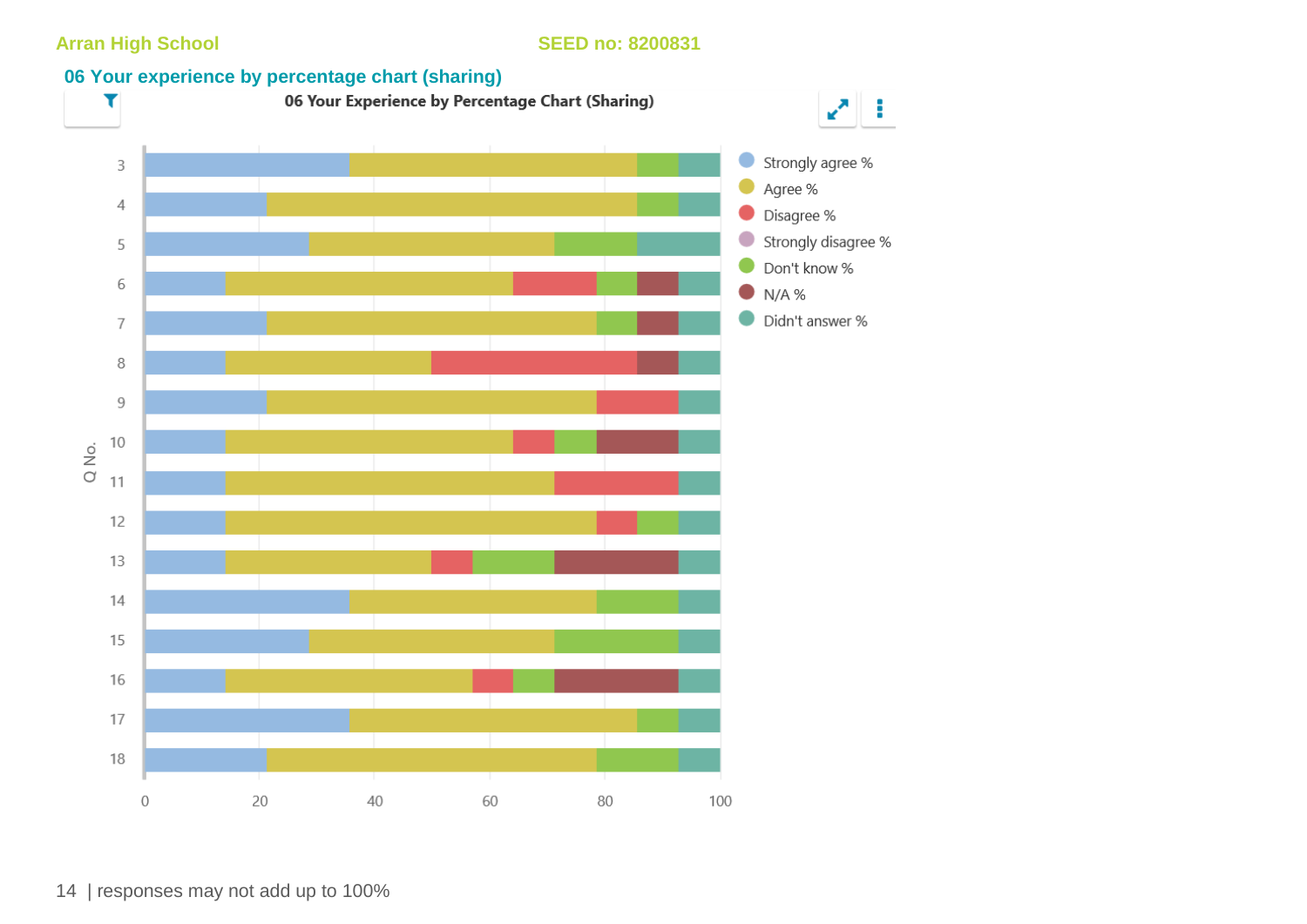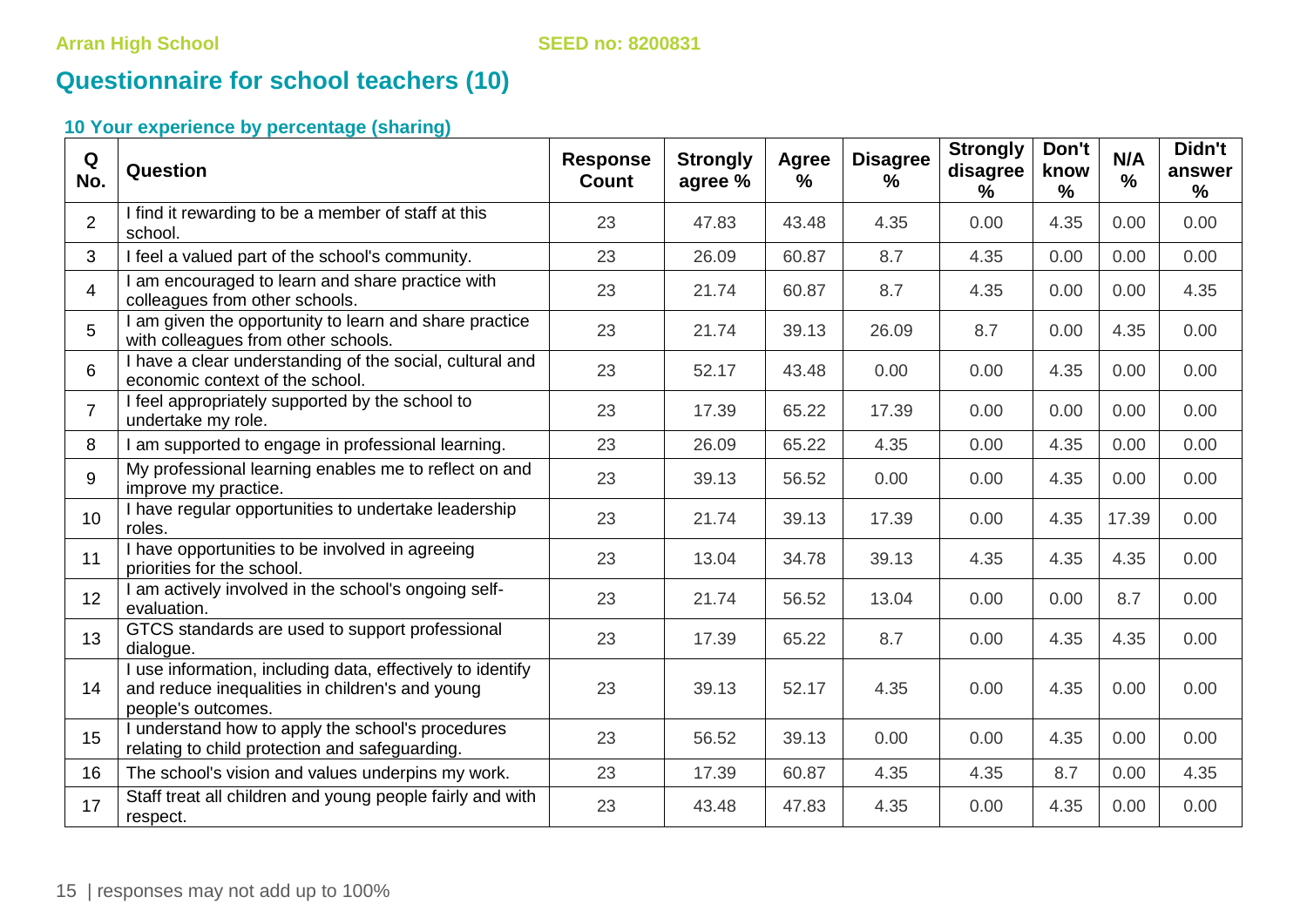## **Questionnaire for school teachers (10)**

| Q<br>No.       | Question                                                                                                                            | <b>Response</b><br><b>Count</b> | <b>Strongly</b><br>agree % | Agree<br>$\frac{9}{6}$ | <b>Disagree</b><br>$\frac{9}{6}$ | <b>Strongly</b><br>disagree<br>$\frac{9}{6}$ | Don't<br>know<br>% | N/A<br>$\%$ | Didn't<br>answer<br>$\%$ |
|----------------|-------------------------------------------------------------------------------------------------------------------------------------|---------------------------------|----------------------------|------------------------|----------------------------------|----------------------------------------------|--------------------|-------------|--------------------------|
| $\overline{2}$ | I find it rewarding to be a member of staff at this<br>school.                                                                      | 23                              | 47.83                      | 43.48                  | 4.35                             | 0.00                                         | 4.35               | 0.00        | 0.00                     |
| 3              | I feel a valued part of the school's community.                                                                                     | 23                              | 26.09                      | 60.87                  | 8.7                              | 4.35                                         | 0.00               | 0.00        | 0.00                     |
| $\overline{4}$ | I am encouraged to learn and share practice with<br>colleagues from other schools.                                                  | 23                              | 21.74                      | 60.87                  | 8.7                              | 4.35                                         | 0.00               | 0.00        | 4.35                     |
| 5              | I am given the opportunity to learn and share practice<br>with colleagues from other schools.                                       | 23                              | 21.74                      | 39.13                  | 26.09                            | 8.7                                          | 0.00               | 4.35        | 0.00                     |
| 6              | I have a clear understanding of the social, cultural and<br>economic context of the school.                                         | 23                              | 52.17                      | 43.48                  | 0.00                             | 0.00                                         | 4.35               | 0.00        | 0.00                     |
| $\overline{7}$ | I feel appropriately supported by the school to<br>undertake my role.                                                               | 23                              | 17.39                      | 65.22                  | 17.39                            | 0.00                                         | 0.00               | 0.00        | 0.00                     |
| 8              | I am supported to engage in professional learning.                                                                                  | 23                              | 26.09                      | 65.22                  | 4.35                             | 0.00                                         | 4.35               | 0.00        | 0.00                     |
| 9              | My professional learning enables me to reflect on and<br>improve my practice.                                                       | 23                              | 39.13                      | 56.52                  | 0.00                             | 0.00                                         | 4.35               | 0.00        | 0.00                     |
| 10             | I have regular opportunities to undertake leadership<br>roles.                                                                      | 23                              | 21.74                      | 39.13                  | 17.39                            | 0.00                                         | 4.35               | 17.39       | 0.00                     |
| 11             | I have opportunities to be involved in agreeing<br>priorities for the school.                                                       | 23                              | 13.04                      | 34.78                  | 39.13                            | 4.35                                         | 4.35               | 4.35        | 0.00                     |
| 12             | I am actively involved in the school's ongoing self-<br>evaluation.                                                                 | 23                              | 21.74                      | 56.52                  | 13.04                            | 0.00                                         | 0.00               | 8.7         | 0.00                     |
| 13             | GTCS standards are used to support professional<br>dialogue.                                                                        | 23                              | 17.39                      | 65.22                  | 8.7                              | 0.00                                         | 4.35               | 4.35        | 0.00                     |
| 14             | I use information, including data, effectively to identify<br>and reduce inequalities in children's and young<br>people's outcomes. | 23                              | 39.13                      | 52.17                  | 4.35                             | 0.00                                         | 4.35               | 0.00        | 0.00                     |
| 15             | I understand how to apply the school's procedures<br>relating to child protection and safeguarding.                                 | 23                              | 56.52                      | 39.13                  | 0.00                             | 0.00                                         | 4.35               | 0.00        | 0.00                     |
| 16             | The school's vision and values underpins my work.                                                                                   | 23                              | 17.39                      | 60.87                  | 4.35                             | 4.35                                         | 8.7                | 0.00        | 4.35                     |
| 17             | Staff treat all children and young people fairly and with<br>respect.                                                               | 23                              | 43.48                      | 47.83                  | 4.35                             | 0.00                                         | 4.35               | 0.00        | 0.00                     |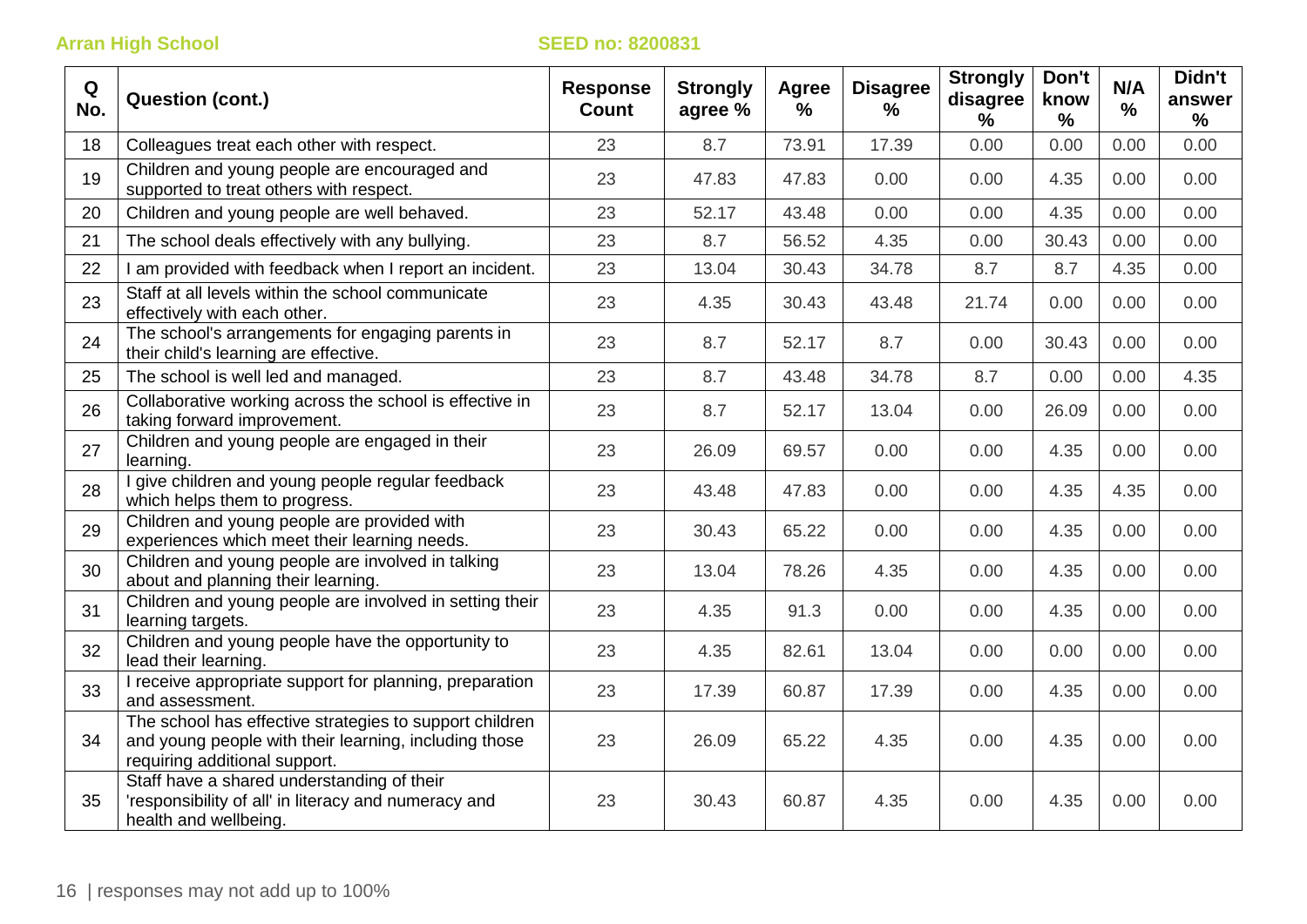| Q<br>No. | <b>Question (cont.)</b>                                                                                                                           | <b>Response</b><br><b>Count</b> | <b>Strongly</b><br>agree % | Agree<br>% | <b>Disagree</b><br>% | <b>Strongly</b><br>disagree<br>$\frac{0}{0}$ | Don't<br>know<br>% | N/A<br>% | Didn't<br>answer<br>$\%$ |
|----------|---------------------------------------------------------------------------------------------------------------------------------------------------|---------------------------------|----------------------------|------------|----------------------|----------------------------------------------|--------------------|----------|--------------------------|
| 18       | Colleagues treat each other with respect.                                                                                                         | 23                              | 8.7                        | 73.91      | 17.39                | 0.00                                         | 0.00               | 0.00     | 0.00                     |
| 19       | Children and young people are encouraged and<br>supported to treat others with respect.                                                           | 23                              | 47.83                      | 47.83      | 0.00                 | 0.00                                         | 4.35               | 0.00     | 0.00                     |
| 20       | Children and young people are well behaved.                                                                                                       | 23                              | 52.17                      | 43.48      | 0.00                 | 0.00                                         | 4.35               | 0.00     | 0.00                     |
| 21       | The school deals effectively with any bullying.                                                                                                   | 23                              | 8.7                        | 56.52      | 4.35                 | 0.00                                         | 30.43              | 0.00     | 0.00                     |
| 22       | I am provided with feedback when I report an incident.                                                                                            | 23                              | 13.04                      | 30.43      | 34.78                | 8.7                                          | 8.7                | 4.35     | 0.00                     |
| 23       | Staff at all levels within the school communicate<br>effectively with each other.                                                                 | 23                              | 4.35                       | 30.43      | 43.48                | 21.74                                        | 0.00               | 0.00     | 0.00                     |
| 24       | The school's arrangements for engaging parents in<br>their child's learning are effective.                                                        | 23                              | 8.7                        | 52.17      | 8.7                  | 0.00                                         | 30.43              | 0.00     | 0.00                     |
| 25       | The school is well led and managed.                                                                                                               | 23                              | 8.7                        | 43.48      | 34.78                | 8.7                                          | 0.00               | 0.00     | 4.35                     |
| 26       | Collaborative working across the school is effective in<br>taking forward improvement.                                                            | 23                              | 8.7                        | 52.17      | 13.04                | 0.00                                         | 26.09              | 0.00     | 0.00                     |
| 27       | Children and young people are engaged in their<br>learning.                                                                                       | 23                              | 26.09                      | 69.57      | 0.00                 | 0.00                                         | 4.35               | 0.00     | 0.00                     |
| 28       | give children and young people regular feedback<br>which helps them to progress.                                                                  | 23                              | 43.48                      | 47.83      | 0.00                 | 0.00                                         | 4.35               | 4.35     | 0.00                     |
| 29       | Children and young people are provided with<br>experiences which meet their learning needs.                                                       | 23                              | 30.43                      | 65.22      | 0.00                 | 0.00                                         | 4.35               | 0.00     | 0.00                     |
| 30       | Children and young people are involved in talking<br>about and planning their learning.                                                           | 23                              | 13.04                      | 78.26      | 4.35                 | 0.00                                         | 4.35               | 0.00     | 0.00                     |
| 31       | Children and young people are involved in setting their<br>learning targets.                                                                      | 23                              | 4.35                       | 91.3       | 0.00                 | 0.00                                         | 4.35               | 0.00     | 0.00                     |
| 32       | Children and young people have the opportunity to<br>lead their learning.                                                                         | 23                              | 4.35                       | 82.61      | 13.04                | 0.00                                         | 0.00               | 0.00     | 0.00                     |
| 33       | I receive appropriate support for planning, preparation<br>and assessment.                                                                        | 23                              | 17.39                      | 60.87      | 17.39                | 0.00                                         | 4.35               | 0.00     | 0.00                     |
| 34       | The school has effective strategies to support children<br>and young people with their learning, including those<br>requiring additional support. | 23                              | 26.09                      | 65.22      | 4.35                 | 0.00                                         | 4.35               | 0.00     | 0.00                     |
| 35       | Staff have a shared understanding of their<br>'responsibility of all' in literacy and numeracy and<br>health and wellbeing.                       | 23                              | 30.43                      | 60.87      | 4.35                 | 0.00                                         | 4.35               | 0.00     | 0.00                     |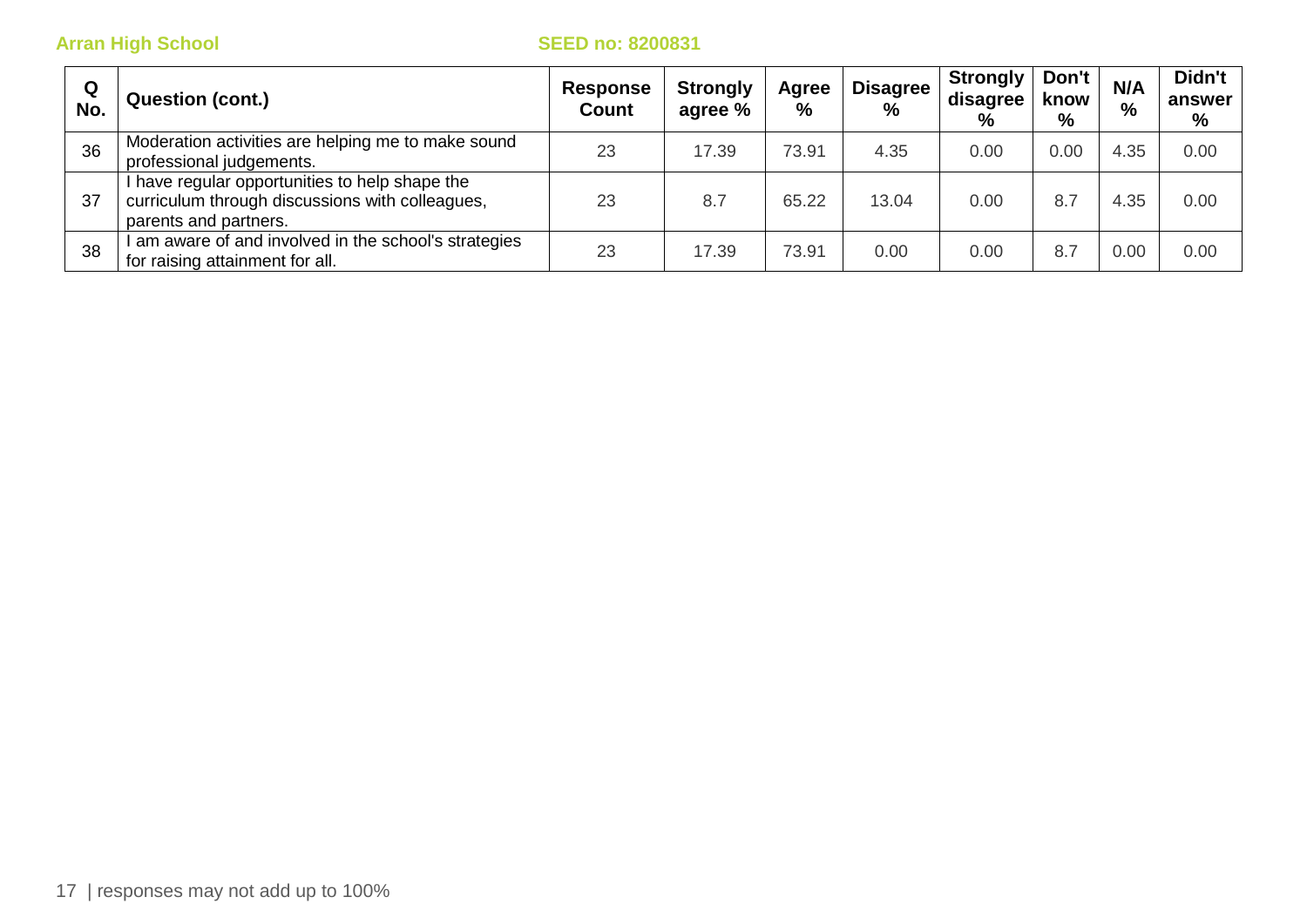| Q<br>No. | <b>Question (cont.)</b>                                                                                                  | <b>Response</b><br><b>Count</b> | <b>Strongly</b><br>agree % | Agree<br>% | <b>Disagree</b><br>% | <b>Strongly</b><br>disagree<br>% | Don't<br>know<br>% | N/A<br>$\%$ | Didn't<br>answer<br>% |
|----------|--------------------------------------------------------------------------------------------------------------------------|---------------------------------|----------------------------|------------|----------------------|----------------------------------|--------------------|-------------|-----------------------|
| 36       | Moderation activities are helping me to make sound<br>professional judgements.                                           | 23                              | 17.39                      | 73.91      | 4.35                 | 0.00                             | 0.00               | 4.35        | 0.00                  |
| 37       | have regular opportunities to help shape the<br>curriculum through discussions with colleagues,<br>parents and partners. | 23                              | 8.7                        | 65.22      | 13.04                | 0.00                             | 8.7                | 4.35        | 0.00                  |
| 38       | am aware of and involved in the school's strategies<br>for raising attainment for all.                                   | 23                              | 17.39                      | 73.91      | 0.00                 | 0.00                             | 8.7                | 0.00        | 0.00                  |